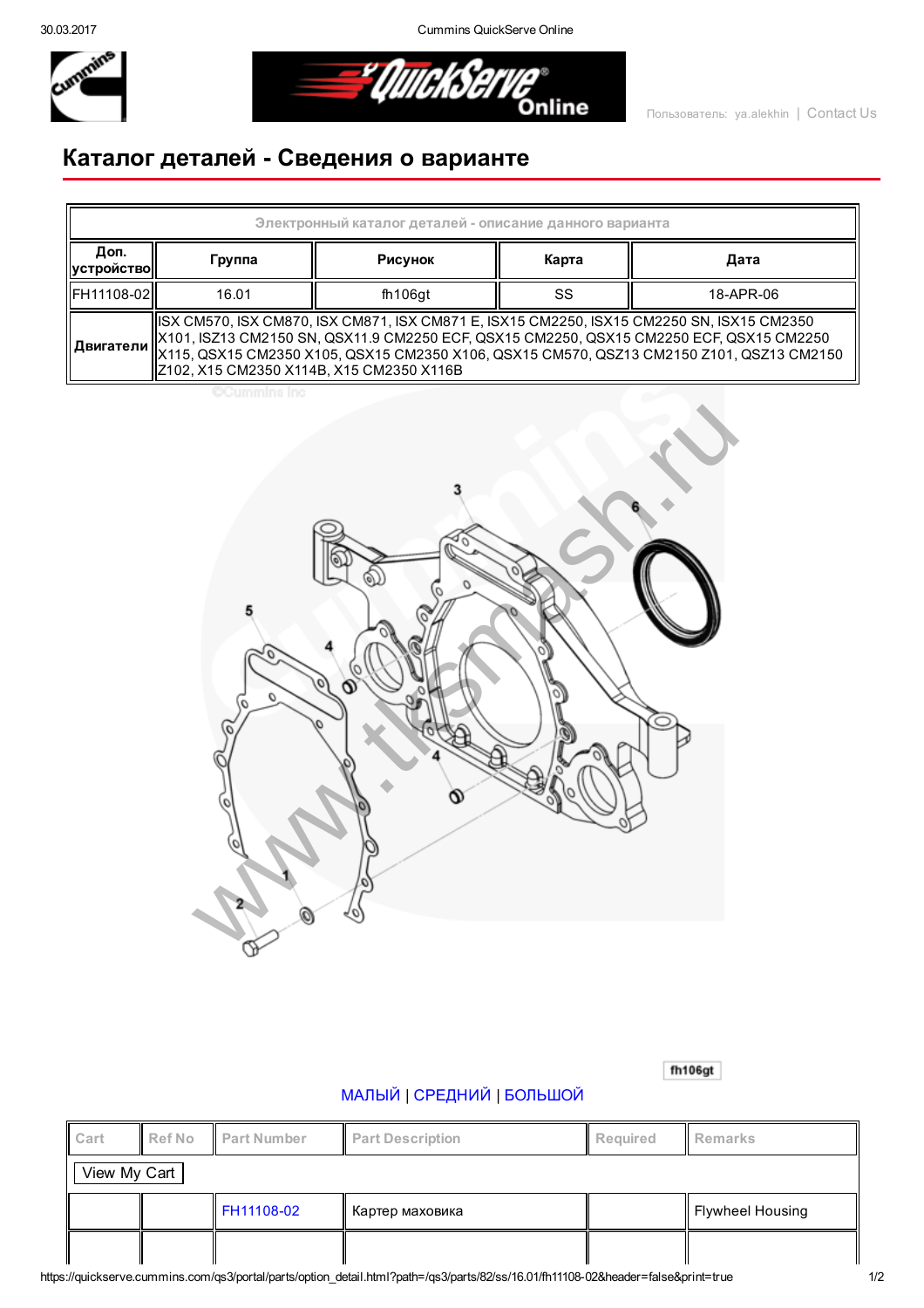30.03.2017 Cummins QuickServe Online



*El QUICKSETVE* 

## Каталог деталей Сведения о варианте

| Электронный каталог деталей - описание данного варианта |                                                                                                                                                                                                                                                                                                                                                        |         |       |           |  |  |  |  |  |  |
|---------------------------------------------------------|--------------------------------------------------------------------------------------------------------------------------------------------------------------------------------------------------------------------------------------------------------------------------------------------------------------------------------------------------------|---------|-------|-----------|--|--|--|--|--|--|
| Доп.<br>  устройство                                    | Группа                                                                                                                                                                                                                                                                                                                                                 | Рисунок | Карта | Дата      |  |  |  |  |  |  |
| FH11108-02                                              | 16.01                                                                                                                                                                                                                                                                                                                                                  | fh106at | SS    | 18-APR-06 |  |  |  |  |  |  |
|                                                         | ISX CM570, ISX CM870, ISX CM871, ISX CM871 E, ISX15 CM2250, ISX15 CM2250 SN, ISX15 CM2350<br>  X101, ISZ13 CM2150 SN, QSX11.9 CM2250 ECF, QSX15 CM2250, QSX15 CM2250 ECF, QSX15 CM2250<br>   <b>Двигатели</b>   X115, QSX15 CM2350 X105, QSX15 CM2350 X106, QSX15 CM570, QSZ13 CM2150 Z101, QSZ13 CM2150<br>  Z102, X15 CM2350 X114B, X15 CM2350 X116B |         |       |           |  |  |  |  |  |  |

**CCummins Inc** 



fh106gt

## [МАЛЫЙ](javascript:swap_img() | [СРЕДНИЙ](javascript:swap_img() | [БОЛЬШОЙ](javascript:swap_img()

| Cart         | <b>Ref No</b> | Part Number | <b>Part Description</b> | <b>Required</b> | Remarks          |  |  |  |  |
|--------------|---------------|-------------|-------------------------|-----------------|------------------|--|--|--|--|
| View My Cart |               |             |                         |                 |                  |  |  |  |  |
|              |               | FH11108-02  | Картер маховика         |                 | Flywheel Housing |  |  |  |  |
|              |               |             |                         |                 |                  |  |  |  |  |